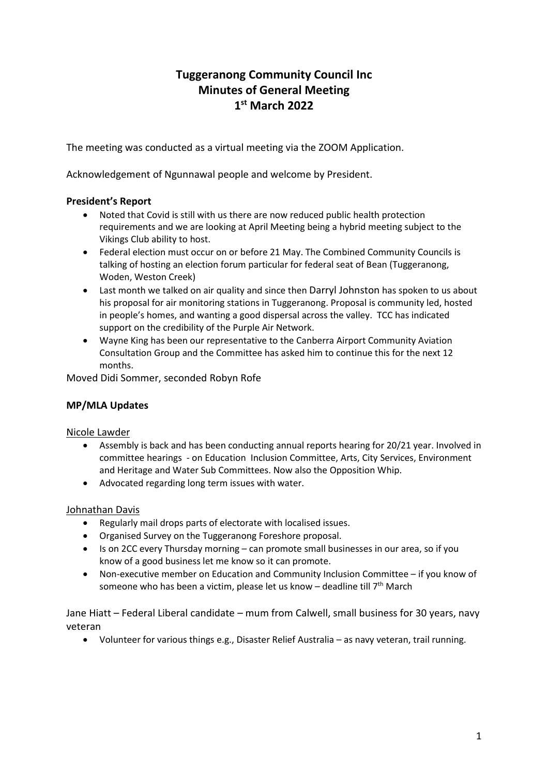# **Tuggeranong Community Council Inc Minutes of General Meeting 1 st March 2022**

The meeting was conducted as a virtual meeting via the ZOOM Application.

Acknowledgement of Ngunnawal people and welcome by President.

## **President's Report**

- Noted that Covid is still with us there are now reduced public health protection requirements and we are looking at April Meeting being a hybrid meeting subject to the Vikings Club ability to host.
- Federal election must occur on or before 21 May. The Combined Community Councils is talking of hosting an election forum particular for federal seat of Bean (Tuggeranong, Woden, Weston Creek)
- Last month we talked on air quality and since then Darryl Johnston has spoken to us about his proposal for air monitoring stations in Tuggeranong. Proposal is community led, hosted in people's homes, and wanting a good dispersal across the valley. TCC has indicated support on the credibility of the Purple Air Network.
- Wayne King has been our representative to the Canberra Airport Community Aviation Consultation Group and the Committee has asked him to continue this for the next 12 months.

Moved Didi Sommer, seconded Robyn Rofe

### **MP/MLA Updates**

Nicole Lawder

- Assembly is back and has been conducting annual reports hearing for 20/21 year. Involved in committee hearings - on Education Inclusion Committee, Arts, City Services, Environment and Heritage and Water Sub Committees. Now also the Opposition Whip.
- Advocated regarding long term issues with water.

### Johnathan Davis

- Regularly mail drops parts of electorate with localised issues.
- Organised Survey on the Tuggeranong Foreshore proposal.
- Is on 2CC every Thursday morning can promote small businesses in our area, so if you know of a good business let me know so it can promote.
- Non-executive member on Education and Community Inclusion Committee if you know of someone who has been a victim, please let us know - deadline till 7<sup>th</sup> March

Jane Hiatt – Federal Liberal candidate – mum from Calwell, small business for 30 years, navy veteran

• Volunteer for various things e.g., Disaster Relief Australia – as navy veteran, trail running.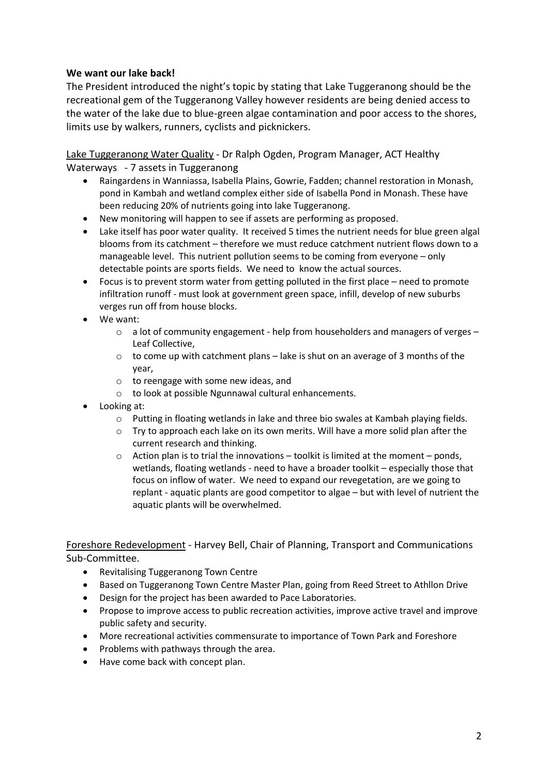### **We want our lake back!**

The President introduced the night's topic by stating that Lake Tuggeranong should be the recreational gem of the Tuggeranong Valley however residents are being denied access to the water of the lake due to blue-green algae contamination and poor access to the shores, limits use by walkers, runners, cyclists and picknickers.

Lake Tuggeranong Water Quality - Dr Ralph Ogden, Program Manager, ACT Healthy Waterways - 7 assets in Tuggeranong

- Raingardens in Wanniassa, Isabella Plains, Gowrie, Fadden; channel restoration in Monash, pond in Kambah and wetland complex either side of Isabella Pond in Monash. These have been reducing 20% of nutrients going into lake Tuggeranong.
- New monitoring will happen to see if assets are performing as proposed.
- Lake itself has poor water quality. It received 5 times the nutrient needs for blue green algal blooms from its catchment – therefore we must reduce catchment nutrient flows down to a manageable level. This nutrient pollution seems to be coming from everyone – only detectable points are sports fields. We need to know the actual sources.
- Focus is to prevent storm water from getting polluted in the first place need to promote infiltration runoff - must look at government green space, infill, develop of new suburbs verges run off from house blocks.
- We want:
	- $\circ$  a lot of community engagement help from householders and managers of verges Leaf Collective,
	- $\circ$  to come up with catchment plans lake is shut on an average of 3 months of the year,
	- o to reengage with some new ideas, and
	- o to look at possible Ngunnawal cultural enhancements.
- Looking at:
	- $\circ$  Putting in floating wetlands in lake and three bio swales at Kambah playing fields.
	- $\circ$  Try to approach each lake on its own merits. Will have a more solid plan after the current research and thinking.
	- $\circ$  Action plan is to trial the innovations toolkit is limited at the moment ponds, wetlands, floating wetlands - need to have a broader toolkit – especially those that focus on inflow of water. We need to expand our revegetation, are we going to replant - aquatic plants are good competitor to algae – but with level of nutrient the aquatic plants will be overwhelmed.

Foreshore Redevelopment - Harvey Bell, Chair of Planning, Transport and Communications Sub-Committee.

- Revitalising Tuggeranong Town Centre
- Based on Tuggeranong Town Centre Master Plan, going from Reed Street to Athllon Drive
- Design for the project has been awarded to Pace Laboratories.
- Propose to improve access to public recreation activities, improve active travel and improve public safety and security.
- More recreational activities commensurate to importance of Town Park and Foreshore
- Problems with pathways through the area.
- Have come back with concept plan.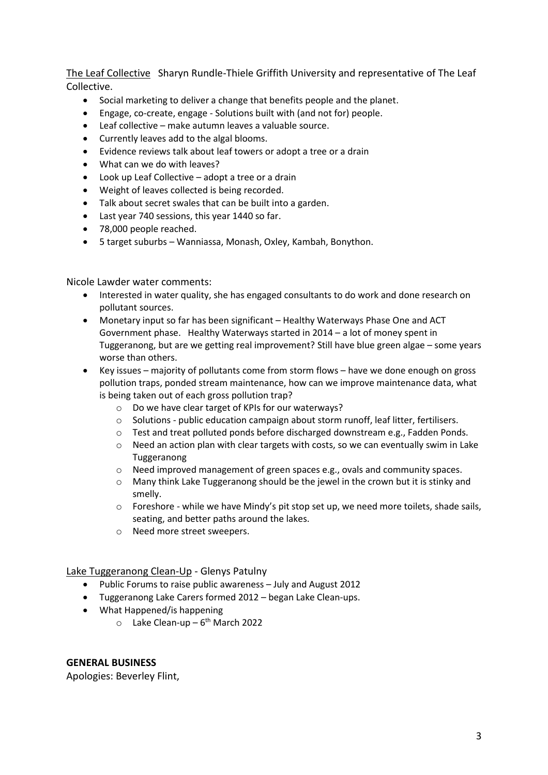The Leaf Collective Sharyn Rundle-Thiele Griffith University and representative of The Leaf Collective.

- Social marketing to deliver a change that benefits people and the planet.
- Engage, co-create, engage Solutions built with (and not for) people.
- Leaf collective make autumn leaves a valuable source.
- Currently leaves add to the algal blooms.
- Evidence reviews talk about leaf towers or adopt a tree or a drain
- What can we do with leaves?
- Look up Leaf Collective adopt a tree or a drain
- Weight of leaves collected is being recorded.
- Talk about secret swales that can be built into a garden.
- Last year 740 sessions, this year 1440 so far.
- 78,000 people reached.
- 5 target suburbs Wanniassa, Monash, Oxley, Kambah, Bonython.

Nicole Lawder water comments:

- Interested in water quality, she has engaged consultants to do work and done research on pollutant sources.
- Monetary input so far has been significant Healthy Waterways Phase One and ACT Government phase. Healthy Waterways started in 2014 – a lot of money spent in Tuggeranong, but are we getting real improvement? Still have blue green algae – some years worse than others.
- Key issues majority of pollutants come from storm flows have we done enough on gross pollution traps, ponded stream maintenance, how can we improve maintenance data, what is being taken out of each gross pollution trap?
	- o Do we have clear target of KPIs for our waterways?
	- o Solutions public education campaign about storm runoff, leaf litter, fertilisers.
	- o Test and treat polluted ponds before discharged downstream e.g., Fadden Ponds.
	- o Need an action plan with clear targets with costs, so we can eventually swim in Lake Tuggeranong
	- o Need improved management of green spaces e.g., ovals and community spaces.
	- $\circ$  Many think Lake Tuggeranong should be the jewel in the crown but it is stinky and smelly.
	- o Foreshore while we have Mindy's pit stop set up, we need more toilets, shade sails, seating, and better paths around the lakes.
	- o Need more street sweepers.

Lake Tuggeranong Clean-Up - Glenys Patulny

- Public Forums to raise public awareness July and August 2012
- Tuggeranong Lake Carers formed 2012 began Lake Clean-ups.
- What Happened/is happening
	- o Lake Clean-up 6<sup>th</sup> March 2022

### **GENERAL BUSINESS**

Apologies: Beverley Flint,